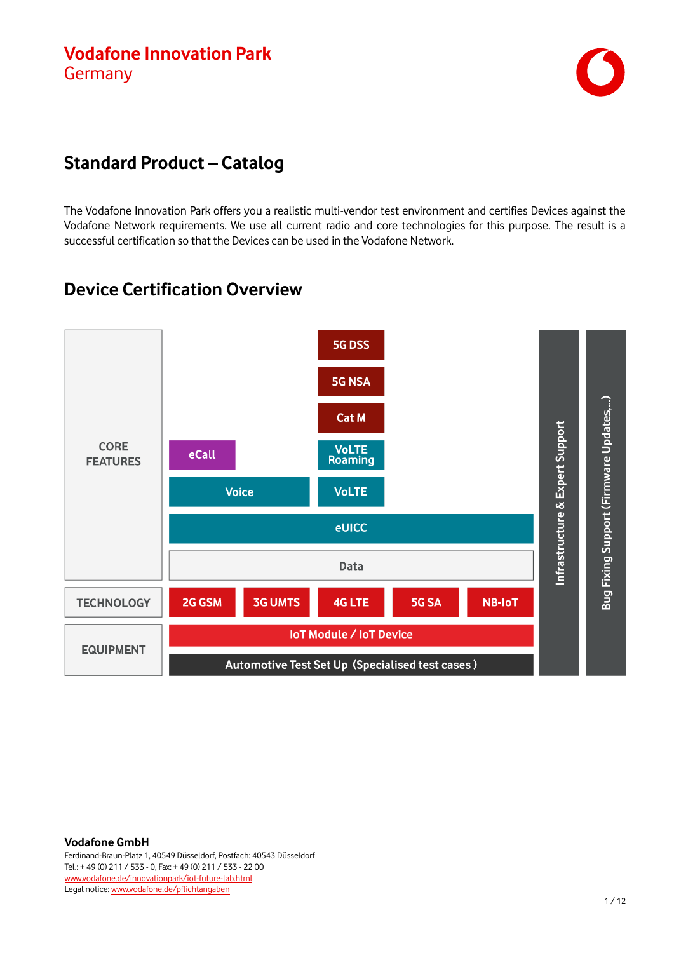

#### **Standard Product – Catalog**

The Vodafone Innovation Park offers you a realistic multi-vendor test environment and certifies Devices against the Vodafone Network requirements. We use all current radio and core technologies for this purpose. The result is a successful certification so that the Devices can be used in the Vodafone Network.

## **Device Certification Overview**

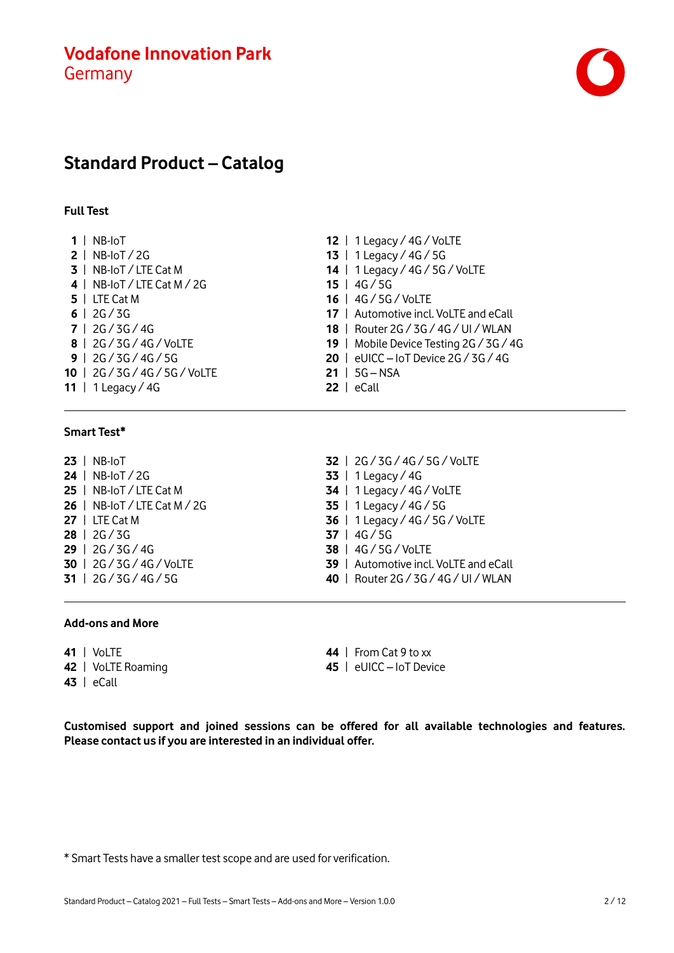

## **Standard Product – Catalog**

#### **Full Test**

| $1$   NB-IoT                   | 12   1 Legacy / $4G$ / VoLTE              |
|--------------------------------|-------------------------------------------|
| $2$   NB-IoT / 2G              | 13   1 Legacy / $4G / 5G$                 |
| 3   NB-IoT / LTE Cat M         | 14   1 Legacy / 4G / 5G / VoLTE           |
| 4   NB-IoT / LTE Cat M / 2G    | $15$   $4G/5G$                            |
| $5$   LTE Cat M                | 16   4G / 5G / VoLTE                      |
| $6$   2G/3G                    | 17   Automotive incl. VoLTE and eCall     |
| 7   2G / 3G / 4G               | 18   Router 2G / 3G / 4G / UI / WLAN      |
| 8   2G / 3G / 4G / VoLTE       | 19   Mobile Device Testing 2G / 3G / 4G   |
| $9$   2G / 3G / 4G / 5G        | 20 $\mid$ eUICC - IoT Device 2G / 3G / 4G |
| 10   2G / 3G / 4G / 5G / VoLTE | $21   5G - NSA$                           |
| 11   1 Legacy / 4G             | $22$   eCall                              |
|                                |                                           |

#### **Smart Test\***

|  | $23$   NB-IoT                |
|--|------------------------------|
|  | 24   NB-IoT / 2G             |
|  | 25   NB-IoT / LTE Cat M      |
|  | 26   NB-IoT / LTE Cat M / 2G |
|  | $27 \perp$ LTE Cat M         |
|  | 28   2G / 3G                 |
|  | 29   2G / 3G / 4G            |
|  | 30   2G / 3G / 4G / VoLTE    |
|  | 31   $2G / 3G / 4G / 5G$     |

- e 2G / 3G / 4G
- | 2G / 3G / 4G / 5G / VoLTE | 1 Legacy / 4G | 1 Legacy / 4G / VoLTE | 1 Legacy / 4G / 5G | 1 Legacy / 4G / 5G / VoLTE | 4G / 5G | 4G / 5G / VoLTE | Automotive incl. VoLTE and eCall | Router 2G / 3G / 4G / UI / WLAN

#### **Add-ons and More**

 | VoLTE | VoLTE Roaming

| eCall

 | From Cat 9 to xx | eUICC – IoT Device

**Customised support and joined sessions can be offered for all available technologies and features. Please contact us if you are interested in an individual offer.**

\* Smart Tests have a smaller test scope and are used for verification.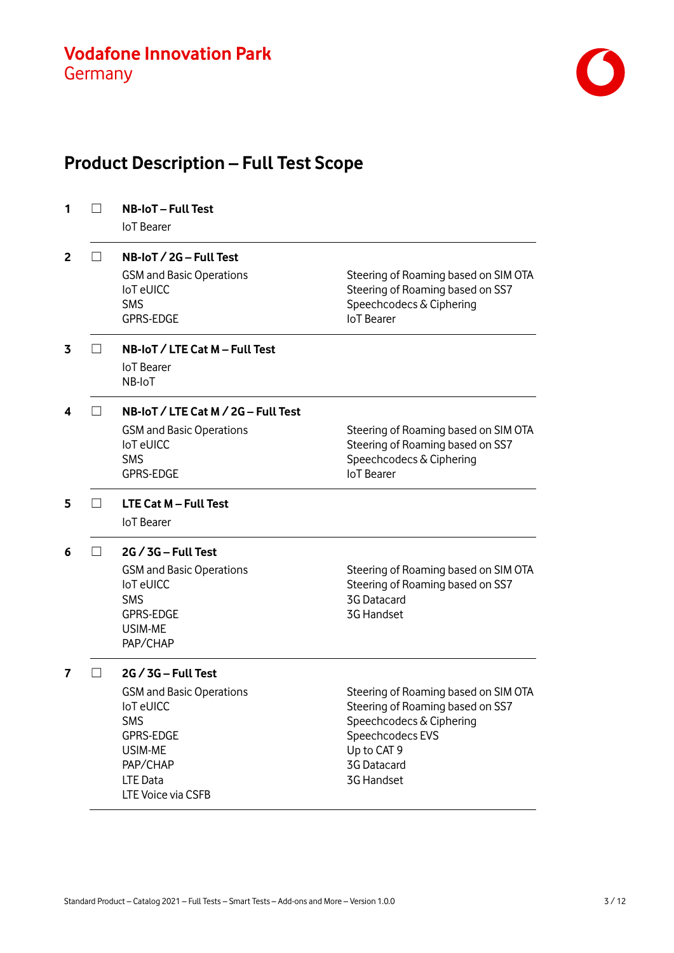

# **Product Description – Full Test Scope**

| 1            |                   | <b>NB-IoT-Full Test</b><br><b>IoT</b> Bearer                                                                                                                            |                                                                                                                                                                      |
|--------------|-------------------|-------------------------------------------------------------------------------------------------------------------------------------------------------------------------|----------------------------------------------------------------------------------------------------------------------------------------------------------------------|
| $\mathbf{2}$ | $\vert \ \ \vert$ | $NB$ -IoT $/$ 2G – Full Test<br><b>GSM and Basic Operations</b><br><b>IoT</b> eUICC<br><b>SMS</b><br><b>GPRS-EDGE</b>                                                   | Steering of Roaming based on SIM OTA<br>Steering of Roaming based on SS7<br>Speechcodecs & Ciphering<br><b>IoT</b> Bearer                                            |
| 3            |                   | NB-IoT / LTE Cat M - Full Test<br><b>IoT</b> Bearer<br>NB-IoT                                                                                                           |                                                                                                                                                                      |
| 4            |                   | NB-IoT / LTE Cat M / 2G - Full Test<br><b>GSM and Basic Operations</b><br><b>IoT</b> eUICC<br><b>SMS</b><br><b>GPRS-EDGE</b>                                            | Steering of Roaming based on SIM OTA<br>Steering of Roaming based on SS7<br>Speechcodecs & Ciphering<br><b>IoT</b> Bearer                                            |
| 5            | $\Box$            | LTE Cat M - Full Test<br><b>IoT</b> Bearer                                                                                                                              |                                                                                                                                                                      |
| 6            |                   | $2G / 3G - Full Test$<br><b>GSM and Basic Operations</b><br><b>IoT</b> eUICC<br><b>SMS</b><br><b>GPRS-EDGE</b><br>USIM-ME<br>PAP/CHAP                                   | Steering of Roaming based on SIM OTA<br>Steering of Roaming based on SS7<br><b>3G Datacard</b><br>3G Handset                                                         |
| 7            |                   | $2G / 3G - Full Test$<br><b>GSM and Basic Operations</b><br>loT eUICC<br><b>SMS</b><br><b>GPRS-EDGE</b><br>USIM-ME<br>PAP/CHAP<br><b>LTE Data</b><br>LTE Voice via CSFB | Steering of Roaming based on SIM OTA<br>Steering of Roaming based on SS7<br>Speechcodecs & Ciphering<br>Speechcodecs EVS<br>Up to CAT 9<br>3G Datacard<br>3G Handset |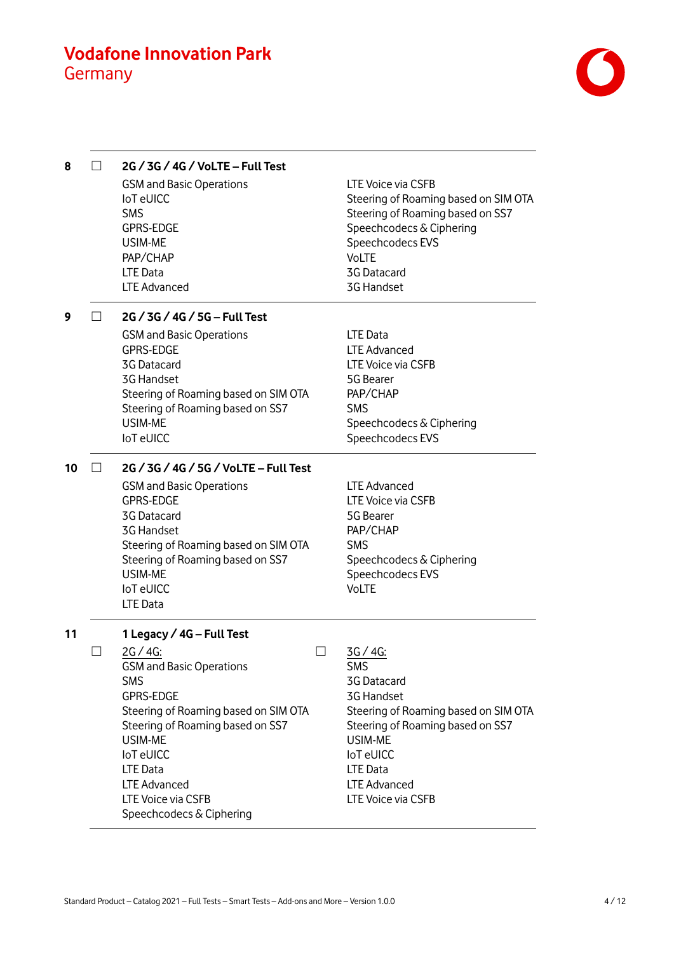

| 8  | 2G / 3G / 4G / VoLTE - Full Test                                         |                                                                                                |
|----|--------------------------------------------------------------------------|------------------------------------------------------------------------------------------------|
|    | <b>GSM and Basic Operations</b><br><b>IoT</b> eUICC<br><b>SMS</b>        | LTE Voice via CSFB<br>Steering of Roaming based on SIM OTA<br>Steering of Roaming based on SS7 |
|    | <b>GPRS-EDGE</b><br>USIM-ME                                              | Speechcodecs & Ciphering<br>Speechcodecs EVS                                                   |
|    | PAP/CHAP                                                                 | <b>VoLTE</b>                                                                                   |
|    | LTE Data                                                                 | 3G Datacard                                                                                    |
|    | <b>LTE Advanced</b>                                                      | 3G Handset                                                                                     |
| 9  | 2G / 3G / 4G / 5G - Full Test                                            |                                                                                                |
|    | <b>GSM and Basic Operations</b>                                          | LTE Data                                                                                       |
|    | <b>GPRS-EDGE</b>                                                         | <b>LTE Advanced</b>                                                                            |
|    | <b>3G Datacard</b><br><b>3G Handset</b>                                  | LTE Voice via CSFB<br>5G Bearer                                                                |
|    | Steering of Roaming based on SIM OTA                                     | PAP/CHAP                                                                                       |
|    | Steering of Roaming based on SS7                                         | <b>SMS</b>                                                                                     |
|    | USIM-ME                                                                  | Speechcodecs & Ciphering                                                                       |
|    | <b>IoT</b> eUICC                                                         | Speechcodecs EVS                                                                               |
| 10 | 2G / 3G / 4G / 5G / VoLTE - Full Test                                    |                                                                                                |
|    | <b>GSM and Basic Operations</b>                                          | LTE Advanced                                                                                   |
|    | <b>GPRS-EDGE</b>                                                         | LTE Voice via CSFB                                                                             |
|    | <b>3G Datacard</b>                                                       | 5G Bearer                                                                                      |
|    | <b>3G Handset</b>                                                        | PAP/CHAP                                                                                       |
|    | Steering of Roaming based on SIM OTA<br>Steering of Roaming based on SS7 | <b>SMS</b><br>Speechcodecs & Ciphering                                                         |
|    | USIM-ME                                                                  | Speechcodecs EVS                                                                               |
|    | <b>IoT</b> eUICC                                                         | <b>VoLTE</b>                                                                                   |
|    | <b>LTE Data</b>                                                          |                                                                                                |
| 11 | 1 Legacy / 4G - Full Test                                                |                                                                                                |
|    | $2G / 4G$ :                                                              | 3G / 4G:                                                                                       |
|    | <b>GSM and Basic Operations</b>                                          | <b>SMS</b>                                                                                     |
|    | <b>SMS</b>                                                               | 3G Datacard                                                                                    |
|    | <b>GPRS-EDGE</b>                                                         | 3G Handset                                                                                     |
|    | Steering of Roaming based on SIM OTA                                     | Steering of Roaming based on SIM OTA                                                           |
|    | Steering of Roaming based on SS7<br>USIM-ME                              | Steering of Roaming based on SS7<br>USIM-ME                                                    |
|    | <b>IoT</b> eUICC                                                         | <b>IoTeUICC</b>                                                                                |
|    | <b>LTE Data</b>                                                          | <b>LTE Data</b>                                                                                |
|    | <b>LTE Advanced</b>                                                      | LTE Advanced                                                                                   |
|    | LTE Voice via CSFB                                                       | LTE Voice via CSFB                                                                             |
|    | Speechcodecs & Ciphering                                                 |                                                                                                |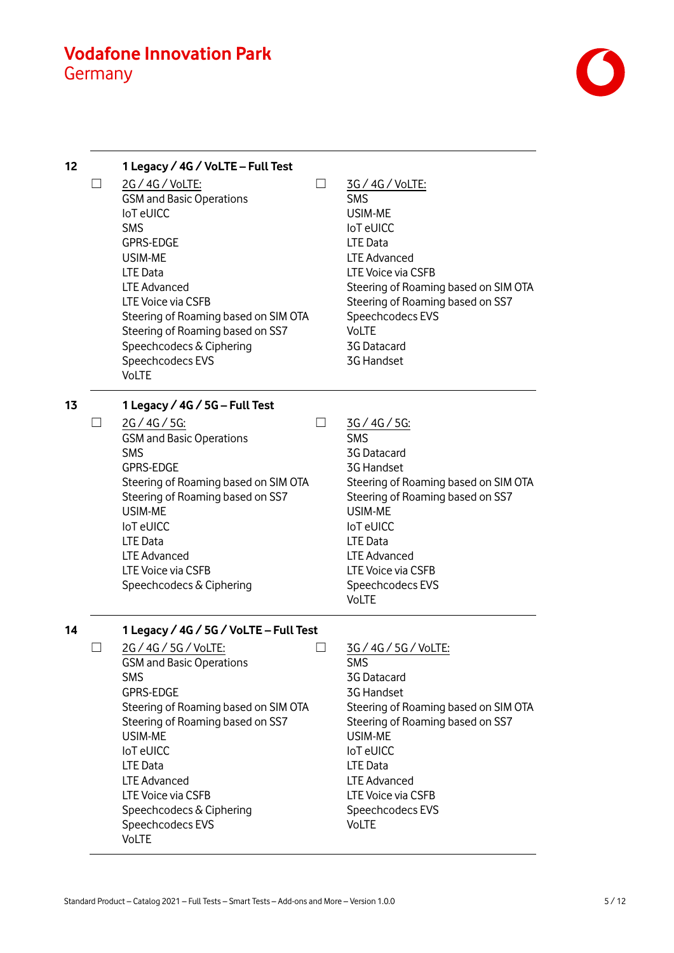

| 12 |              | 1 Legacy / 4G / VoLTE - Full Test                                                                                                                                                                                                                                                                                                     |                          |                                                                                                                                                                                                                                                                                        |
|----|--------------|---------------------------------------------------------------------------------------------------------------------------------------------------------------------------------------------------------------------------------------------------------------------------------------------------------------------------------------|--------------------------|----------------------------------------------------------------------------------------------------------------------------------------------------------------------------------------------------------------------------------------------------------------------------------------|
|    | $\Box$       | 2G / 4G / VoLTE:<br><b>GSM and Basic Operations</b><br><b>IoT</b> eUICC<br><b>SMS</b><br><b>GPRS-EDGE</b><br>USIM-ME<br><b>LTE Data</b><br><b>LTE Advanced</b><br>LTE Voice via CSFB<br>Steering of Roaming based on SIM OTA<br>Steering of Roaming based on SS7<br>Speechcodecs & Ciphering<br>Speechcodecs EVS<br><b>VoLTE</b>      |                          | 3G / 4G / VoLTE:<br><b>SMS</b><br>USIM-ME<br><b>IoT</b> eUICC<br><b>LTE Data</b><br><b>LTE Advanced</b><br>LTE Voice via CSFB<br>Steering of Roaming based on SIM OTA<br>Steering of Roaming based on SS7<br>Speechcodecs EVS<br><b>VoLTE</b><br>3G Datacard<br>3G Handset             |
| 13 |              | 1 Legacy / 4G / 5G – Full Test                                                                                                                                                                                                                                                                                                        |                          |                                                                                                                                                                                                                                                                                        |
|    | $\mathsf{L}$ | 2G/4G/5G:<br><b>GSM and Basic Operations</b><br><b>SMS</b><br><b>GPRS-EDGE</b><br>Steering of Roaming based on SIM OTA<br>Steering of Roaming based on SS7<br>USIM-ME<br><b>IoT</b> eUICC<br><b>LTE Data</b><br><b>LTE Advanced</b><br>LTE Voice via CSFB<br>Speechcodecs & Ciphering                                                 | $\overline{\phantom{0}}$ | 3G/4G/5G:<br><b>SMS</b><br>3G Datacard<br>3G Handset<br>Steering of Roaming based on SIM OTA<br>Steering of Roaming based on SS7<br><b>USIM-ME</b><br><b>IoT</b> eUICC<br><b>LTE Data</b><br><b>LTE Advanced</b><br>LTE Voice via CSFB<br>Speechcodecs EVS<br><b>VoLTE</b>             |
| 14 |              | 1 Legacy / 4G / 5G / VoLTE - Full Test                                                                                                                                                                                                                                                                                                |                          |                                                                                                                                                                                                                                                                                        |
|    |              | 2G / 4G / 5G / VoLTE:<br><b>GSM and Basic Operations</b><br><b>SMS</b><br><b>GPRS-EDGE</b><br>Steering of Roaming based on SIM OTA<br>Steering of Roaming based on SS7<br>USIM-ME<br><b>IoT</b> eUICC<br><b>LTE Data</b><br><b>LTE Advanced</b><br>LTE Voice via CSFB<br>Speechcodecs & Ciphering<br>Speechcodecs EVS<br><b>VoLTE</b> |                          | 3G / 4G / 5G / VoLTE:<br>SMS<br>3G Datacard<br><b>3G Handset</b><br>Steering of Roaming based on SIM OTA<br>Steering of Roaming based on SS7<br><b>USIM-ME</b><br><b>IoT</b> eUICC<br><b>LTE Data</b><br><b>LTE Advanced</b><br>LTE Voice via CSFB<br>Speechcodecs EVS<br><b>VoLTE</b> |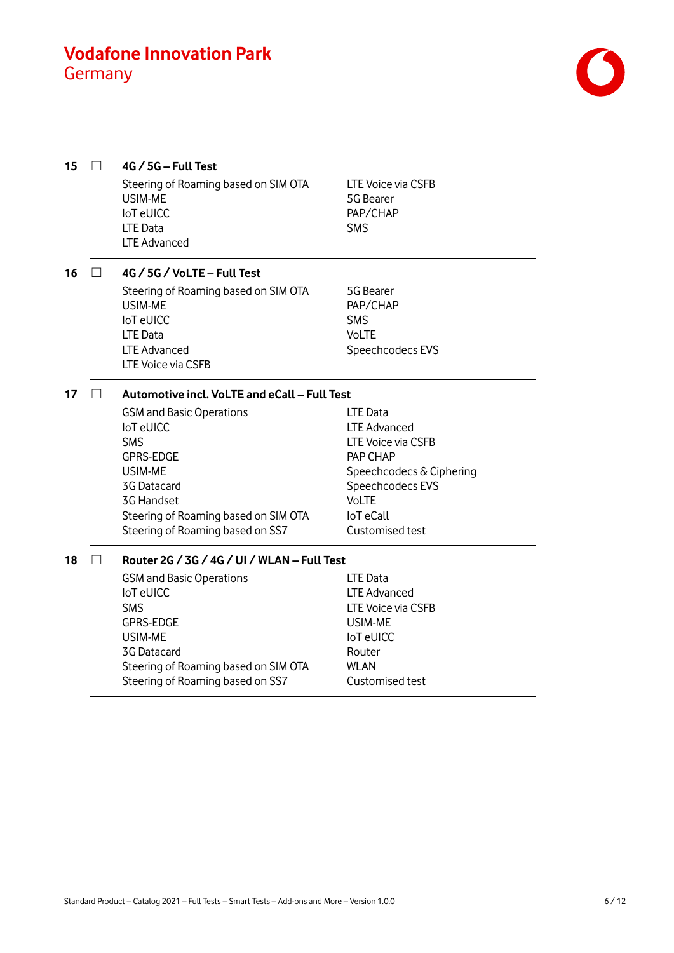

| 15 |        | $4G / 5G - Full Test$<br>Steering of Roaming based on SIM OTA<br>USIM-ME<br><b>IoT</b> eUICC<br><b>LTE Data</b><br><b>LTE Advanced</b>                                                                                                            | LTE Voice via CSFB<br>5G Bearer<br>PAP/CHAP<br><b>SMS</b>                                                                                                         |
|----|--------|---------------------------------------------------------------------------------------------------------------------------------------------------------------------------------------------------------------------------------------------------|-------------------------------------------------------------------------------------------------------------------------------------------------------------------|
| 16 | $\Box$ | 4G / 5G / VoLTE – Full Test                                                                                                                                                                                                                       |                                                                                                                                                                   |
|    |        | Steering of Roaming based on SIM OTA<br>USIM-ME<br><b>IoT</b> eUICC<br><b>LTE Data</b><br><b>LTE Advanced</b><br>LTE Voice via CSFB                                                                                                               | 5G Bearer<br>PAP/CHAP<br><b>SMS</b><br><b>VoLTE</b><br>Speechcodecs EVS                                                                                           |
| 17 | $\Box$ | Automotive incl. VoLTE and eCall - Full Test                                                                                                                                                                                                      |                                                                                                                                                                   |
|    |        | <b>GSM and Basic Operations</b><br><b>IoT</b> eUICC<br><b>SMS</b><br><b>GPRS-EDGE</b><br>USIM-ME<br>3G Datacard<br><b>3G Handset</b><br>Steering of Roaming based on SIM OTA<br>Steering of Roaming based on SS7                                  | LTE Data<br><b>LTE Advanced</b><br>LTE Voice via CSFB<br>PAP CHAP<br>Speechcodecs & Ciphering<br>Speechcodecs EVS<br>VoLTE<br><b>IoT</b> eCall<br>Customised test |
| 18 | $\Box$ | Router 2G / 3G / 4G / UI / WLAN - Full Test<br><b>GSM and Basic Operations</b><br><b>IoT</b> eUICC<br><b>SMS</b><br><b>GPRS-EDGE</b><br>USIM-ME<br><b>3G Datacard</b><br>Steering of Roaming based on SIM OTA<br>Steering of Roaming based on SS7 | <b>LTE Data</b><br><b>LTE Advanced</b><br>LTE Voice via CSFB<br>USIM-ME<br><b>IoT</b> eUICC<br>Router<br><b>WLAN</b><br>Customised test                           |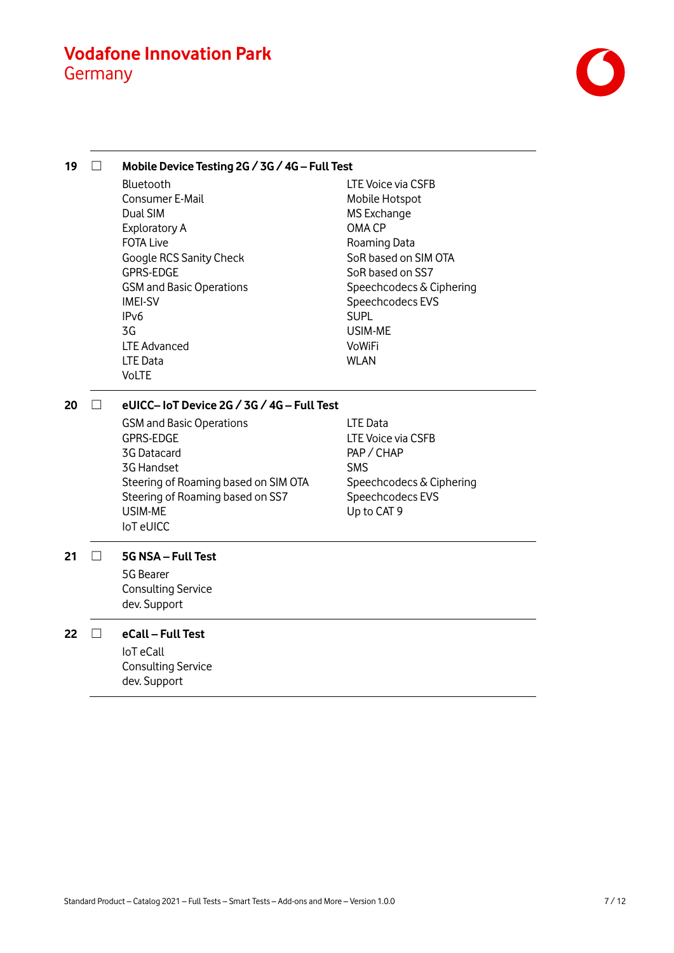

**19** ☐ **Mobile Device Testing 2G / 3G / 4G – Full Test** Bluetooth Consumer E-Mail Dual SIM Exploratory A FOTA Live Google RCS Sanity Check GPRS-EDGE GSM and Basic Operations IMEI-SV IPv6 3G LTE Advanced LTE Data VoLTE LTE Voice via CSFB Mobile Hotspot MS Exchange OMA CP Roaming Data SoR based on SIM OTA SoR based on SS7 Speechcodecs & Ciphering Speechcodecs EVS SUPL USIM-ME VoWiFi WLAN **20** ☐ **eUICC– IoT Device 2G / 3G / 4G – Full Test** GSM and Basic Operations GPRS-EDGE 3G Datacard 3G Handset Steering of Roaming based on SIM OTA Steering of Roaming based on SS7 USIM-ME IoT eUICC LTE Data LTE Voice via CSFB PAP / CHAP SMS Speechcodecs & Ciphering Speechcodecs EVS Up to CAT 9 **21** ☐ **5G NSA – Full Test** 5G Bearer Consulting Service dev. Support **22** ☐ **eCall – Full Test** IoT eCall Consulting Service dev. Support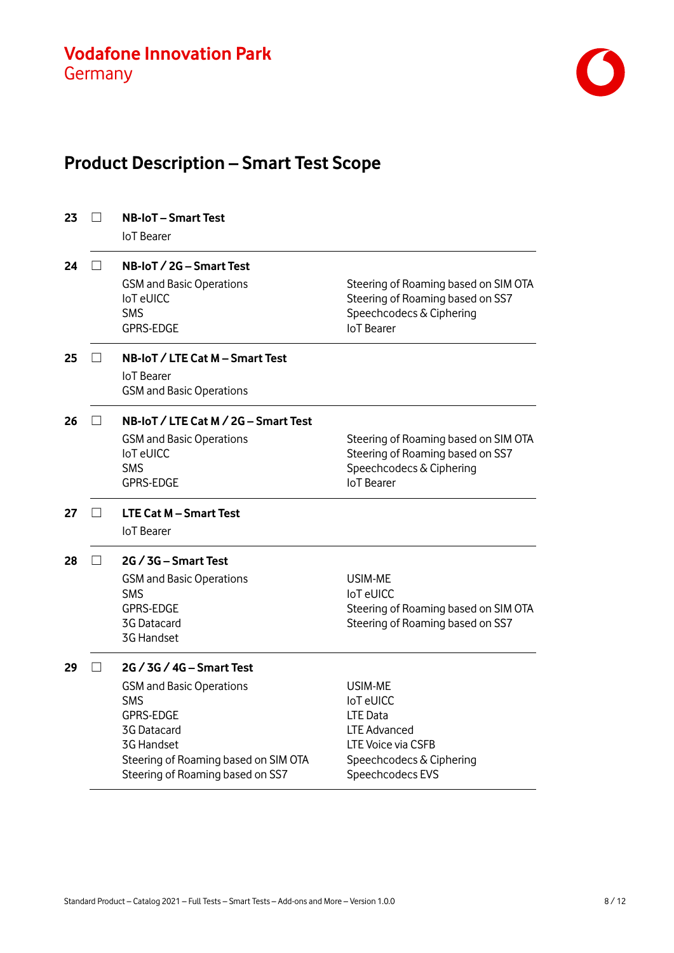

# **Product Description – Smart Test Scope**

| 23 |        | <b>NB-IoT – Smart Test</b><br><b>IoT</b> Bearer                                                                                                                                                         |                                                                                                                                      |
|----|--------|---------------------------------------------------------------------------------------------------------------------------------------------------------------------------------------------------------|--------------------------------------------------------------------------------------------------------------------------------------|
| 24 |        | NB-IoT / 2G - Smart Test<br><b>GSM and Basic Operations</b><br><b>IoT</b> eUICC<br><b>SMS</b><br><b>GPRS-EDGE</b>                                                                                       | Steering of Roaming based on SIM OTA<br>Steering of Roaming based on SS7<br>Speechcodecs & Ciphering<br><b>IoT</b> Bearer            |
| 25 | $\Box$ | NB-IoT / LTE Cat M - Smart Test<br><b>IoT</b> Bearer<br><b>GSM and Basic Operations</b>                                                                                                                 |                                                                                                                                      |
| 26 | $\Box$ | NB-IoT / LTE Cat M / 2G - Smart Test<br><b>GSM and Basic Operations</b><br><b>IoT</b> eUICC<br><b>SMS</b><br><b>GPRS-EDGE</b>                                                                           | Steering of Roaming based on SIM OTA<br>Steering of Roaming based on SS7<br>Speechcodecs & Ciphering<br><b>IoT</b> Bearer            |
| 27 |        | <b>LTE Cat M - Smart Test</b><br><b>IoT</b> Bearer                                                                                                                                                      |                                                                                                                                      |
| 28 |        | 2G / 3G – Smart Test<br><b>GSM and Basic Operations</b><br><b>SMS</b><br><b>GPRS-EDGE</b><br>3G Datacard<br>3G Handset                                                                                  | USIM-ME<br><b>IoT</b> eUICC<br>Steering of Roaming based on SIM OTA<br>Steering of Roaming based on SS7                              |
| 29 |        | 2G / 3G / 4G – Smart Test<br><b>GSM and Basic Operations</b><br><b>SMS</b><br><b>GPRS-EDGE</b><br>3G Datacard<br>3G Handset<br>Steering of Roaming based on SIM OTA<br>Steering of Roaming based on SS7 | USIM-ME<br><b>IoT</b> eUICC<br>LTE Data<br><b>LTE Advanced</b><br>LTE Voice via CSFB<br>Speechcodecs & Ciphering<br>Speechcodecs EVS |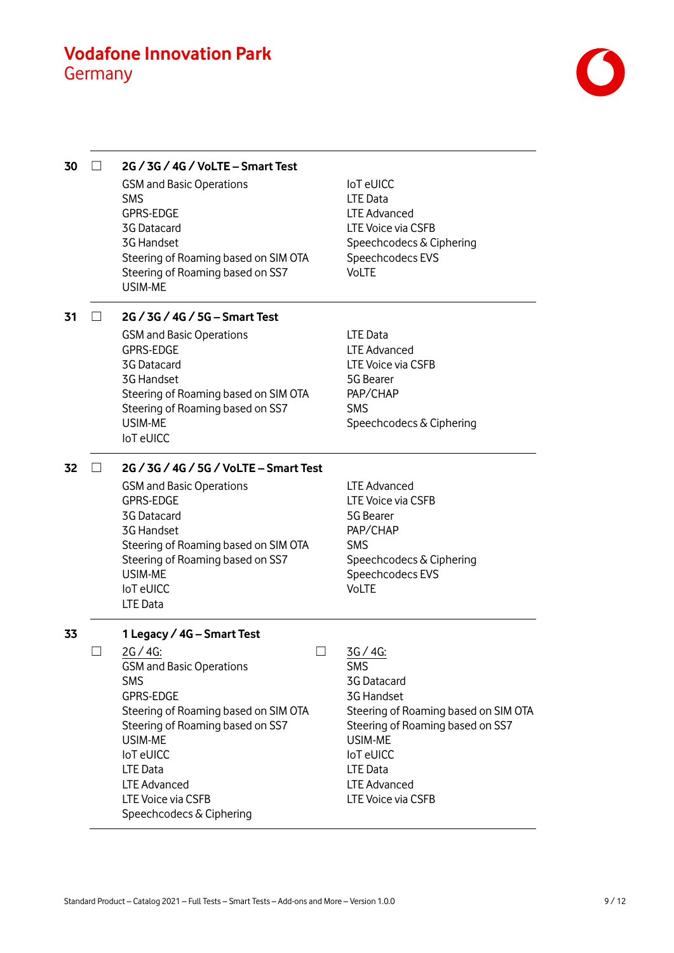

| 30 | 2G / 3G / 4G / VoLTE - Smart Test<br><b>GSM and Basic Operations</b><br><b>SMS</b><br><b>GPRS-EDGE</b><br><b>3G Datacard</b><br>3G Handset<br>Steering of Roaming based on SIM OTA<br>Steering of Roaming based on SS7                                                                                                | <b>IoT</b> eUICC<br>LTE Data<br><b>LTE Advanced</b><br><b>LTE Voice via CSFB</b><br>Speechcodecs & Ciphering<br>Speechcodecs EVS<br><b>VoLTE</b>                                                                             |
|----|-----------------------------------------------------------------------------------------------------------------------------------------------------------------------------------------------------------------------------------------------------------------------------------------------------------------------|------------------------------------------------------------------------------------------------------------------------------------------------------------------------------------------------------------------------------|
| 31 | <b>USIM-ME</b><br>2G / 3G / 4G / 5G - Smart Test                                                                                                                                                                                                                                                                      |                                                                                                                                                                                                                              |
|    | <b>GSM and Basic Operations</b><br><b>GPRS-EDGE</b><br>3G Datacard<br>3G Handset<br>Steering of Roaming based on SIM OTA<br>Steering of Roaming based on SS7<br><b>USIM-ME</b><br><b>IoT</b> eUICC                                                                                                                    | LTE Data<br><b>LTE Advanced</b><br>LTE Voice via CSFB<br>5G Bearer<br>PAP/CHAP<br><b>SMS</b><br>Speechcodecs & Ciphering                                                                                                     |
| 32 | 2G / 3G / 4G / 5G / VoLTE - Smart Test<br><b>GSM and Basic Operations</b><br><b>GPRS-EDGE</b><br>3G Datacard<br><b>3G Handset</b><br>Steering of Roaming based on SIM OTA<br>Steering of Roaming based on SS7<br>USIM-ME<br><b>IoT</b> eUICC<br><b>LTE Data</b>                                                       | <b>LTE Advanced</b><br>LTE Voice via CSFB<br>5G Bearer<br>PAP/CHAP<br><b>SMS</b><br>Speechcodecs & Ciphering<br>Speechcodecs EVS<br><b>VoLTE</b>                                                                             |
| 33 | 1 Legacy / 4G - Smart Test<br>$2G / 4G$ :<br><b>GSM and Basic Operations</b><br><b>SMS</b><br><b>GPRS-EDGE</b><br>Steering of Roaming based on SIM OTA<br>Steering of Roaming based on SS7<br>USIM-ME<br><b>IoT</b> eUICC<br><b>LTE Data</b><br><b>LTE Advanced</b><br>LTE Voice via CSFB<br>Speechcodecs & Ciphering | 3G/4G:<br><b>SMS</b><br><b>3G Datacard</b><br>3G Handset<br>Steering of Roaming based on SIM OTA<br>Steering of Roaming based on SS7<br>USIM-ME<br><b>IoT</b> eUICC<br>LTE Data<br><b>LTE Advanced</b><br>LTE Voice via CSFB |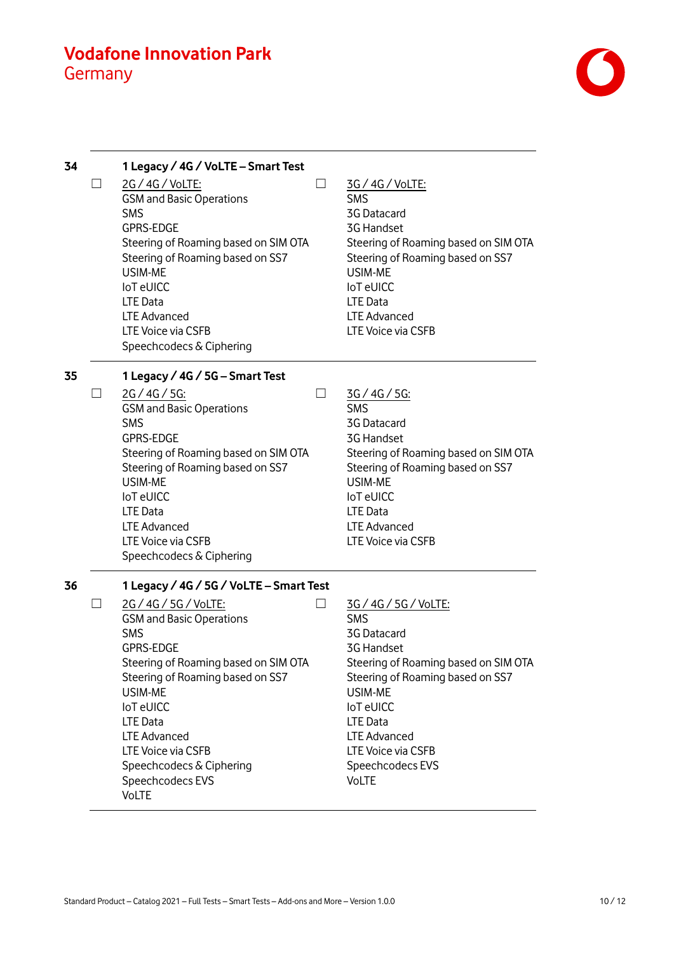

| 34 |        | 1 Legacy / 4G / VoLTE - Smart Test                                                                                                                                                                                                                                                                                                                                               |                                                                                                                                                                                                                                                                          |
|----|--------|----------------------------------------------------------------------------------------------------------------------------------------------------------------------------------------------------------------------------------------------------------------------------------------------------------------------------------------------------------------------------------|--------------------------------------------------------------------------------------------------------------------------------------------------------------------------------------------------------------------------------------------------------------------------|
|    | $\Box$ | 2G / 4G / VoLTE:<br>$\mathsf{L}$<br><b>GSM and Basic Operations</b><br><b>SMS</b><br><b>GPRS-EDGE</b><br>Steering of Roaming based on SIM OTA<br>Steering of Roaming based on SS7<br>USIM-ME<br><b>IoT</b> eUICC<br><b>LTE Data</b><br><b>LTE Advanced</b><br>LTE Voice via CSFB<br>Speechcodecs & Ciphering                                                                     | 3G / 4G / VoLTE:<br><b>SMS</b><br><b>3G Datacard</b><br><b>3G Handset</b><br>Steering of Roaming based on SIM OTA<br>Steering of Roaming based on SS7<br>USIM-ME<br><b>IoT</b> eUICC<br><b>LTE Data</b><br><b>LTE Advanced</b><br>LTE Voice via CSFB                     |
| 35 |        | 1 Legacy / 4G / 5G - Smart Test                                                                                                                                                                                                                                                                                                                                                  |                                                                                                                                                                                                                                                                          |
|    | $\Box$ | 2G/4G/5G:<br>$\overline{\phantom{0}}$<br><b>GSM and Basic Operations</b><br><b>SMS</b><br><b>GPRS-EDGE</b><br>Steering of Roaming based on SIM OTA<br>Steering of Roaming based on SS7<br>USIM-ME<br><b>IoT</b> eUICC<br><b>LTE Data</b><br><b>LTE Advanced</b><br>LTE Voice via CSFB<br>Speechcodecs & Ciphering                                                                | 3G/4G/5G:<br><b>SMS</b><br>3G Datacard<br><b>3G Handset</b><br>Steering of Roaming based on SIM OTA<br>Steering of Roaming based on SS7<br>USIM-ME<br><b>IoT</b> eUICC<br><b>LTE Data</b><br><b>LTE Advanced</b><br>LTE Voice via CSFB                                   |
| 36 |        | 1 Legacy / 4G / 5G / VoLTE - Smart Test<br>2G / 4G / 5G / VoLTE:<br><b>GSM and Basic Operations</b><br><b>SMS</b><br><b>GPRS-EDGE</b><br>Steering of Roaming based on SIM OTA<br>Steering of Roaming based on SS7<br>USIM-ME<br><b>IoT</b> eUICC<br><b>LTE Data</b><br><b>LTE Advanced</b><br>LTE Voice via CSFB<br>Speechcodecs & Ciphering<br>Speechcodecs EVS<br><b>VoLTE</b> | 3G / 4G / 5G / VoLTE:<br><b>SMS</b><br>3G Datacard<br>3G Handset<br>Steering of Roaming based on SIM OTA<br>Steering of Roaming based on SS7<br>USIM-ME<br><b>IoT</b> eUICC<br>LTE Data<br><b>LTE Advanced</b><br>LTE Voice via CSFB<br>Speechcodecs EVS<br><b>VoLTE</b> |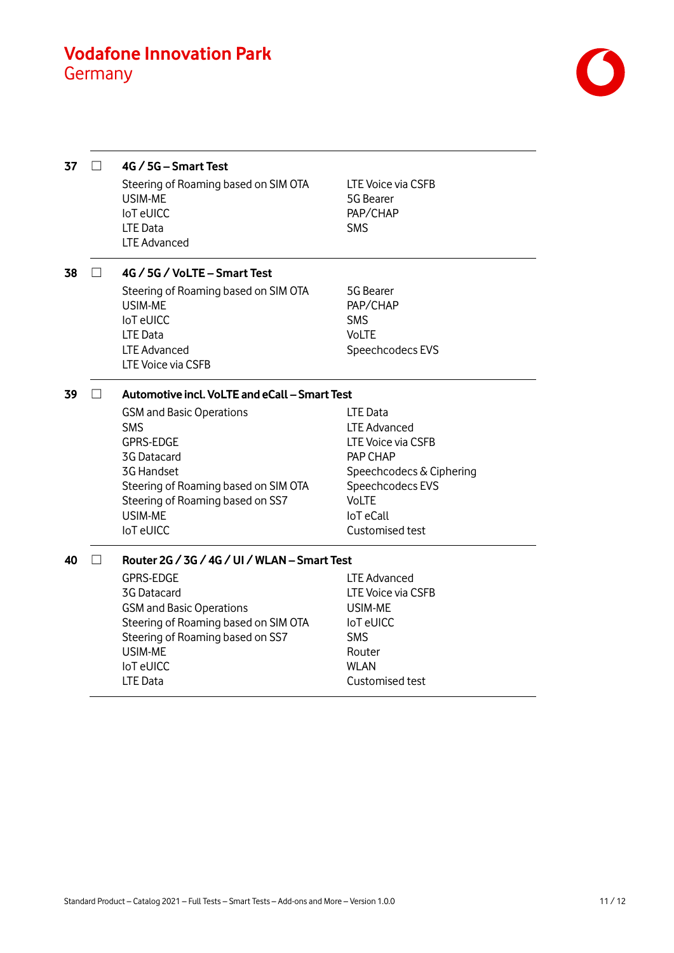

| 37 |        | 4G / 5G - Smart Test<br>Steering of Roaming based on SIM OTA<br>USIM-ME<br>loT eUICC<br><b>LTE Data</b><br><b>LTE Advanced</b>                                                                                                                   | LTE Voice via CSFB<br>5G Bearer<br>PAP/CHAP<br><b>SMS</b>                                                                                                                |
|----|--------|--------------------------------------------------------------------------------------------------------------------------------------------------------------------------------------------------------------------------------------------------|--------------------------------------------------------------------------------------------------------------------------------------------------------------------------|
| 38 |        | 4G / 5G / VoLTE - Smart Test                                                                                                                                                                                                                     |                                                                                                                                                                          |
|    |        | Steering of Roaming based on SIM OTA<br>USIM-ME<br><b>IoT</b> eUICC<br>LTE Data<br><b>LTE Advanced</b><br>LTE Voice via CSFB                                                                                                                     | 5G Bearer<br>PAP/CHAP<br><b>SMS</b><br><b>VoLTE</b><br>Speechcodecs EVS                                                                                                  |
| 39 | $\Box$ | Automotive incl. VoLTE and eCall - Smart Test                                                                                                                                                                                                    |                                                                                                                                                                          |
|    |        | <b>GSM and Basic Operations</b><br><b>SMS</b><br><b>GPRS-EDGE</b><br>3G Datacard<br><b>3G Handset</b><br>Steering of Roaming based on SIM OTA<br>Steering of Roaming based on SS7<br>USIM-ME<br><b>IoT</b> eUICC                                 | LTE Data<br><b>LTE Advanced</b><br>LTE Voice via CSFB<br>PAP CHAP<br>Speechcodecs & Ciphering<br>Speechcodecs EVS<br><b>VoLTE</b><br><b>IoT</b> eCall<br>Customised test |
| 40 |        | Router 2G / 3G / 4G / UI / WLAN - Smart Test<br><b>GPRS-EDGE</b><br>3G Datacard<br><b>GSM and Basic Operations</b><br>Steering of Roaming based on SIM OTA<br>Steering of Roaming based on SS7<br>USIM-ME<br><b>IoT</b> eUICC<br><b>LTE Data</b> | LTE Advanced<br>LTE Voice via CSFB<br>USIM-ME<br><b>IoT</b> eUICC<br><b>SMS</b><br>Router<br><b>WLAN</b><br>Customised test                                              |